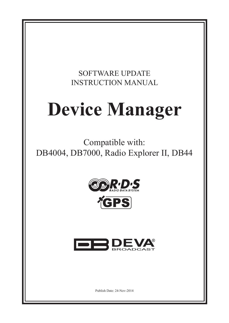# SOFTWARE UPDATE INSTRUCTION MANUAL

# **Device Manager**

Compatible with: DB4004, DB7000, Radio Explorer II, DB44







Publish Date: 24-Nov-2014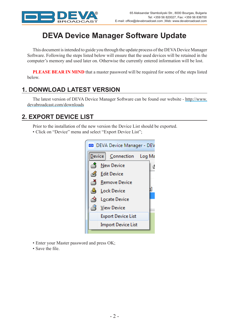

# **DEVA Device Manager Software Update**

This document is intended to guide you through the update process of the DEVA Device Manager Software. Following the steps listed below will ensure that the used devices will be retained in the computer's memory and used later on. Otherwise the currently entered information will be lost.

**PLEASE BEAR IN MIND** that a master password will be required for some of the steps listed below.

#### **1. DONWLOAD LATEST VERSION**

The latest version of DEVA Device Manager Software can be found our website - [http://www.](http://www.devabroadcast.com/downloads) [devabroadcast.com/downloads](http://www.devabroadcast.com/downloads)

#### **2. EXPORT DEVICE LIST**

Prior to the installation of the new version the Device List should be exported.

• Click on "Device" menu and select "Export Device List";



- Enter your Master password and press OK;
- Save the file.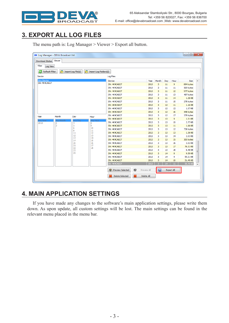

# **3. EXPORT ALL LOG FILES**

| Log Manager - DEVA Broadcast Ltd. |           |                    |                            |                       |             |       |     |                   | ▣<br>$\qquad \qquad \blacksquare$ | $\mathbf{x}$             |
|-----------------------------------|-----------|--------------------|----------------------------|-----------------------|-------------|-------|-----|-------------------|-----------------------------------|--------------------------|
| Download Status                   | Viewer    |                    |                            |                       |             |       |     |                   |                                   |                          |
| Filter<br>Log View                |           |                    |                            |                       |             |       |     |                   |                                   |                          |
|                                   | ۴         |                    | A<br>Import Log Folders(s) |                       |             |       |     |                   |                                   |                          |
| ෂි<br>Refresh Filter              |           | Import Log File(s) |                            |                       |             |       |     |                   |                                   |                          |
| Device                            |           |                    |                            | Log Files             |             |       |     |                   |                                   |                          |
| <b>Any Device</b>                 |           |                    |                            | <b>Device</b>         | Year        | Month | Day | Hour              | <b>Size</b>                       | ۸                        |
| <b>SN: 4K4CA827</b>               |           |                    |                            | <b>SN: 4K4CA827</b>   | 2013        | 3     | 11  | 9                 | 894 bytes                         |                          |
|                                   |           |                    |                            | <b>SN: 4K4CA827</b>   | 2013        | 3     | 11  | 11                | 569 bytes                         |                          |
|                                   |           |                    |                            | SN: 4K4CA827          | 2013        | 3     | 11  | 12                | 977 bytes                         |                          |
|                                   |           |                    |                            | SN: 4K4CA827          | 2013        | 3     | 11  | 13                | 487 bytes                         |                          |
|                                   |           |                    |                            | SN: 4K4CA827          | 2013        | 3     | 11  | 14                | 1.28 KB                           |                          |
|                                   |           |                    |                            | SN: 4K4CA827          | 2013        | 3     | 11  | 15                | 278 bytes                         |                          |
|                                   |           |                    |                            | SN: 4K4CA827          | 2013        | 3     | 12  | 11                | 1.16 KB                           |                          |
|                                   |           |                    |                            | SN: 4K4CA827          | 2013        | 3     | 12  | 12                | 1.07 KB                           |                          |
|                                   |           |                    |                            | <b>SN: 4K4CA827</b>   | 2013        | 3     | 12  | 16                | 448 bytes                         |                          |
| Year                              | Month     | Day                | Hour                       | SN: 4K4CA827          | 2013        | 3     | 12  | 17                | 379 bytes                         |                          |
| Any Year                          | Any Month | Any Day            | Hour                       | SN: 4K4CA827          | 2013        | 3     | 13  | 9                 | 1.01KB                            |                          |
| 2013                              | 2         | 4                  | 8                          | <b>SN: 4K4CA827</b>   | 2013        | 3     | 13  | 10                | 2.77 KB                           |                          |
|                                   | 3         | 5<br>6             | 9                          | <b>SN: 4K4CA827</b>   | 2013        | 3     | 13  | 11                | 1.66 KB                           |                          |
|                                   |           | 8                  | 10<br>11                   | SN: 4K4CA827          | 2013        | з     | 13  | 12                | 738 bytes                         |                          |
|                                   |           | 11                 | 12                         | SN: 4K4CA827          | 2013        | 3     | 13  | 13                | 1.36 KB                           |                          |
|                                   |           | 12<br>13           | 13<br>14                   | SN: 4K4CA827          | 2013        | з     | 13  | 14                | 2.03 KB                           |                          |
|                                   |           | 14                 | 15                         | <b>SN: 4K4CA827</b>   | 2013        | 3     | 13  | 15                | 300 bytes                         |                          |
|                                   |           | 20                 | 16                         | SN: 4K4CA827          | 2013        | 3     | 13  | 16                | 3.53 KB                           |                          |
|                                   |           | 21<br>22           | 17<br>18                   | SN: 4K4CA827          | 2013        | 3     | 13  | 17                | 76.31KB                           |                          |
|                                   |           | 23                 |                            | SN: 4K4CA827          | 2013        | 3     | 13  | 18                | 6.48 KB                           |                          |
|                                   |           | 25                 |                            | <b>SN: 4K4CA827</b>   | 2013        | 3     | 14  | 8                 | 9.59 KB                           |                          |
|                                   |           |                    |                            | <b>SN: 4K4CA827</b>   | 2013        | 3     | 14  | 9                 | 55.21KB                           |                          |
|                                   |           |                    |                            | <b>SN: 4K4CA827</b>   | 2013        | 3     | 14  | 10                | 31.49 KB                          |                          |
|                                   |           |                    |                            | <b>SN: 4K4CA827</b>   | 2013        | з     | 14  | 11                | 50.76 KB                          | $\overline{\phantom{a}}$ |
|                                   |           |                    |                            | ◉<br>Preview Selected | Preview All | u     |     | <b>Export All</b> |                                   |                          |
|                                   |           |                    |                            | 纂<br>Delete Selected  | Delete All  |       |     |                   |                                   |                          |

The menu path is: Log Manager > Viewer > Export all button.

#### **4. MAIN APPLICATION SETTINGS**

If you have made any changes to the software's main application settings, please write them down. As upon update, all custom settings will be lost. The main settings can be found in the relevant menu placed in the menu bar.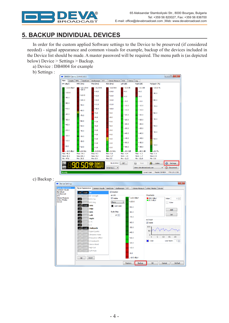

# **5. BACKUP INDIVIDUAL DEVICES**

In order for the custom applied Software settings to the Device to be preserved (if considered needed) - signal appearance and common visuals for example, backup of the devices included in the Device list should be made. A master password will be required. The menu path is (as depicted below) Device > Settings > Backup.

a) Device : DB4004 for example

b) Settings :



c) Backup :

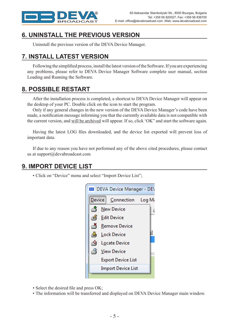

## **6. UNINSTALL THE PREVIOUS VERSION**

Uninstall the previous version of the DEVA Device Manager.

## **7. INSTALL LATEST VERSION**

Following the simplified process, install the latest version of the Software. If you are experiencing any problems, please refer to DEVA Device Manager Software complete user manual, section Loading and Running the Software.

#### **8. POSSIBLE RESTART**

After the installation process is completed, a shortcut to DEVA Device Manager will appear on the desktop of your PC. Double click on the icon to start the program.

Only if any general changes in the new version of the DEVA Device Manager's code have been made, a notification message informing you that the currently available data is not compatible with the current version, and will be archived will appear. If so, click 'OK" and start the software again.

Having the latest LOG files downloaded, and the device list exported will prevent loss of important data.

If due to any reason you have not performed any of the above cited procedures, please contact us at support@devabroadcast.com

#### **9. IMPORT DEVICE LIST**

• Click on "Device" menu and select "Import Device List";



- Select the desired file and press OK;
- The information will be transferred and displayed on DEVA Device Manager main window.